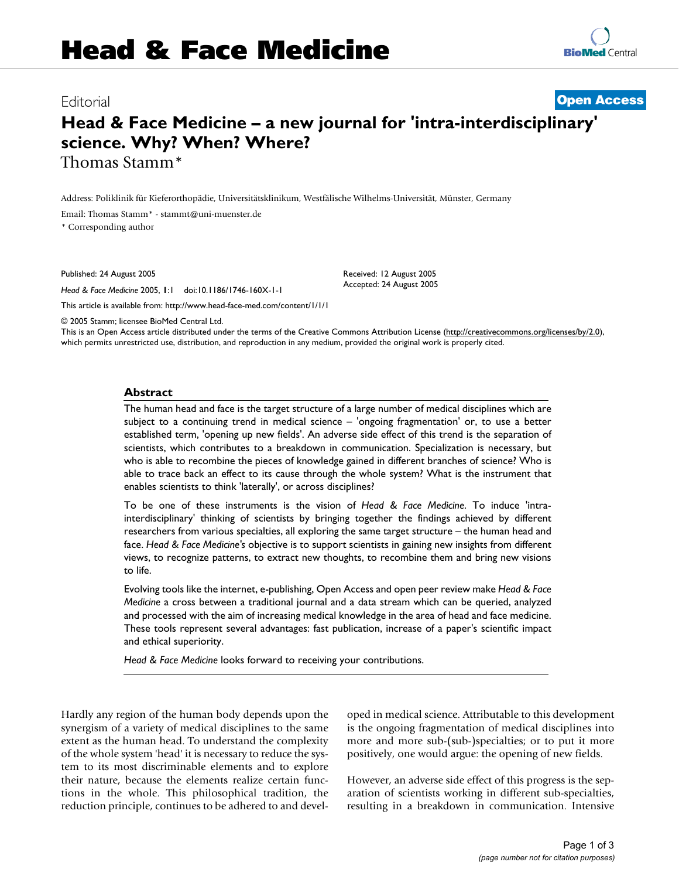Editorial **[Open Access](http://www.biomedcentral.com/info/about/charter/)**

# **Head & Face Medicine – a new journal for 'intra-interdisciplinary' science. Why? When? Where?** Thomas Stamm\*

Address: Poliklinik für Kieferorthopädie, Universitätsklinikum, Westfälische Wilhelms-Universität, Münster, Germany

Email: Thomas Stamm\* - stammt@uni-muenster.de

\* Corresponding author

Published: 24 August 2005

*Head & Face Medicine* 2005, **1**:1 doi:10.1186/1746-160X-1-1

[This article is available from: http://www.head-face-med.com/content/1/1/1](http://www.head-face-med.com/content/1/1/1)

© 2005 Stamm; licensee BioMed Central Ltd.

This is an Open Access article distributed under the terms of the Creative Commons Attribution License [\(http://creativecommons.org/licenses/by/2.0\)](http://creativecommons.org/licenses/by/2.0), which permits unrestricted use, distribution, and reproduction in any medium, provided the original work is properly cited.

Received: 12 August 2005 Accepted: 24 August 2005

#### **Abstract**

The human head and face is the target structure of a large number of medical disciplines which are subject to a continuing trend in medical science – 'ongoing fragmentation' or, to use a better established term, 'opening up new fields'. An adverse side effect of this trend is the separation of scientists, which contributes to a breakdown in communication. Specialization is necessary, but who is able to recombine the pieces of knowledge gained in different branches of science? Who is able to trace back an effect to its cause through the whole system? What is the instrument that enables scientists to think 'laterally', or across disciplines?

To be one of these instruments is the vision of *Head & Face Medicine*. To induce 'intrainterdisciplinary' thinking of scientists by bringing together the findings achieved by different researchers from various specialties, all exploring the same target structure – the human head and face. *Head & Face Medicine's* objective is to support scientists in gaining new insights from different views, to recognize patterns, to extract new thoughts, to recombine them and bring new visions to life.

Evolving tools like the internet, e-publishing, Open Access and open peer review make *Head & Face Medicine* a cross between a traditional journal and a data stream which can be queried, analyzed and processed with the aim of increasing medical knowledge in the area of head and face medicine. These tools represent several advantages: fast publication, increase of a paper's scientific impact and ethical superiority.

*Head & Face Medicine* looks forward to receiving your contributions.

Hardly any region of the human body depends upon the synergism of a variety of medical disciplines to the same extent as the human head. To understand the complexity of the whole system 'head' it is necessary to reduce the system to its most discriminable elements and to explore their nature, because the elements realize certain functions in the whole. This philosophical tradition, the reduction principle, continues to be adhered to and developed in medical science. Attributable to this development is the ongoing fragmentation of medical disciplines into more and more sub-(sub-)specialties; or to put it more positively, one would argue: the opening of new fields.

However, an adverse side effect of this progress is the separation of scientists working in different sub-specialties, resulting in a breakdown in communication. Intensive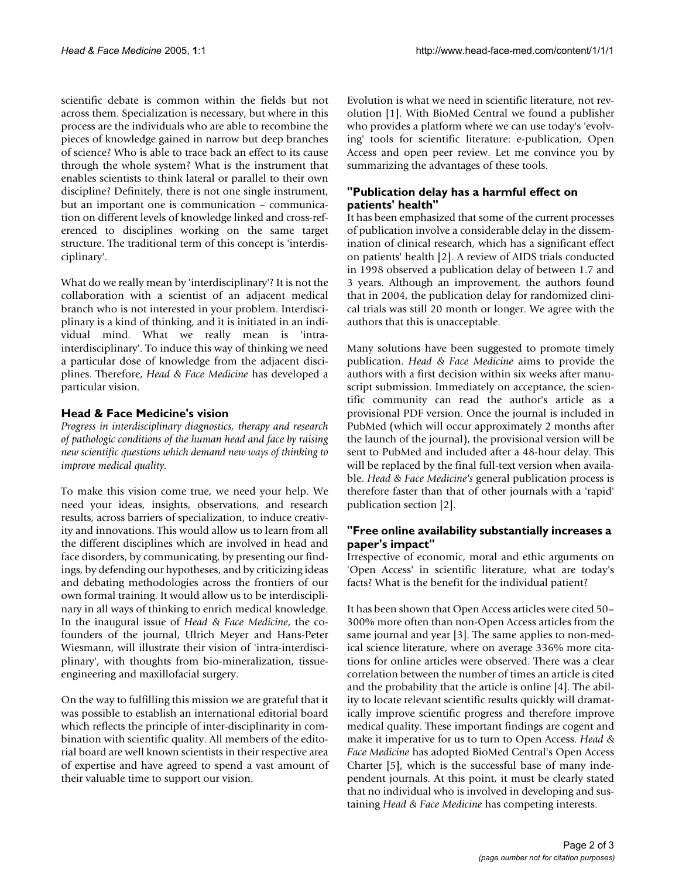scientific debate is common within the fields but not across them. Specialization is necessary, but where in this process are the individuals who are able to recombine the pieces of knowledge gained in narrow but deep branches of science? Who is able to trace back an effect to its cause through the whole system? What is the instrument that enables scientists to think lateral or parallel to their own discipline? Definitely, there is not one single instrument, but an important one is communication – communication on different levels of knowledge linked and cross-referenced to disciplines working on the same target structure. The traditional term of this concept is 'interdisciplinary'.

What do we really mean by 'interdisciplinary'? It is not the collaboration with a scientist of an adjacent medical branch who is not interested in your problem. Interdisciplinary is a kind of thinking, and it is initiated in an individual mind. What we really mean is 'intrainterdisciplinary'. To induce this way of thinking we need a particular dose of knowledge from the adjacent disciplines. Therefore, *Head & Face Medicine* has developed a particular vision.

# **Head & Face Medicine's vision**

*Progress in interdisciplinary diagnostics, therapy and research of pathologic conditions of the human head and face by raising new scientific questions which demand new ways of thinking to improve medical quality.*

To make this vision come true, we need your help. We need your ideas, insights, observations, and research results, across barriers of specialization, to induce creativity and innovations. This would allow us to learn from all the different disciplines which are involved in head and face disorders, by communicating, by presenting our findings, by defending our hypotheses, and by criticizing ideas and debating methodologies across the frontiers of our own formal training. It would allow us to be interdisciplinary in all ways of thinking to enrich medical knowledge. In the inaugural issue of *Head & Face Medicine*, the cofounders of the journal, Ulrich Meyer and Hans-Peter Wiesmann, will illustrate their vision of 'intra-interdisciplinary', with thoughts from bio-mineralization, tissueengineering and maxillofacial surgery.

On the way to fulfilling this mission we are grateful that it was possible to establish an international editorial board which reflects the principle of inter-disciplinarity in combination with scientific quality. All members of the editorial board are well known scientists in their respective area of expertise and have agreed to spend a vast amount of their valuable time to support our vision.

Evolution is what we need in scientific literature, not revolution [1]. With BioMed Central we found a publisher who provides a platform where we can use today's 'evolving' tools for scientific literature: e-publication, Open Access and open peer review. Let me convince you by summarizing the advantages of these tools.

# **"Publication delay has a harmful effect on patients' health"**

It has been emphasized that some of the current processes of publication involve a considerable delay in the dissemination of clinical research, which has a significant effect on patients' health [2]. A review of AIDS trials conducted in 1998 observed a publication delay of between 1.7 and 3 years. Although an improvement, the authors found that in 2004, the publication delay for randomized clinical trials was still 20 month or longer. We agree with the authors that this is unacceptable.

Many solutions have been suggested to promote timely publication. *Head & Face Medicine* aims to provide the authors with a first decision within six weeks after manuscript submission. Immediately on acceptance, the scientific community can read the author's article as a provisional PDF version. Once the journal is included in PubMed (which will occur approximately 2 months after the launch of the journal), the provisional version will be sent to PubMed and included after a 48-hour delay. This will be replaced by the final full-text version when available. *Head & Face Medicine's* general publication process is therefore faster than that of other journals with a 'rapid' publication section [2].

# **"Free online availability substantially increases a paper's impact"**

Irrespective of economic, moral and ethic arguments on 'Open Access' in scientific literature, what are today's facts? What is the benefit for the individual patient?

It has been shown that Open Access articles were cited 50– 300% more often than non-Open Access articles from the same journal and year [3]. The same applies to non-medical science literature, where on average 336% more citations for online articles were observed. There was a clear correlation between the number of times an article is cited and the probability that the article is online [4]. The ability to locate relevant scientific results quickly will dramatically improve scientific progress and therefore improve medical quality. These important findings are cogent and make it imperative for us to turn to Open Access. *Head & Face Medicine* has adopted BioMed Central's Open Access Charter [5], which is the successful base of many independent journals. At this point, it must be clearly stated that no individual who is involved in developing and sustaining *Head & Face Medicine* has competing interests.